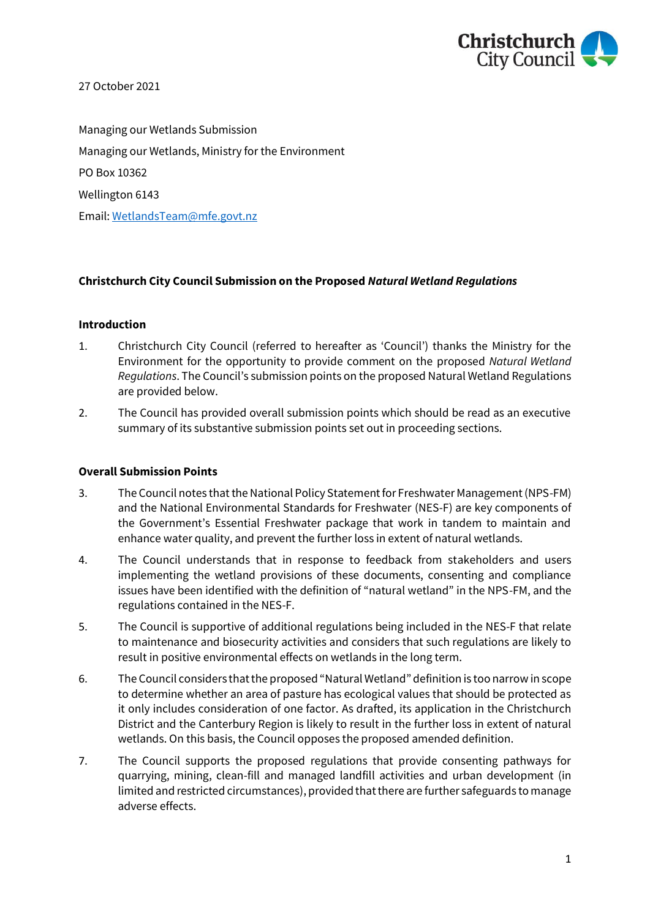

27 October 2021

Managing our Wetlands Submission Managing our Wetlands, Ministry for the Environment PO Box 10362 Wellington 6143 Email: [WetlandsTeam@mfe.govt.nz](mailto:WetlandsTeam@mfe.govt.nz) 

## **Christchurch City Council Submission on the Proposed** *Natural Wetland Regulations*

#### **Introduction**

- 1. Christchurch City Council (referred to hereafter as 'Council') thanks the Ministry for the Environment for the opportunity to provide comment on the proposed *Natural Wetland Regulations*. The Council's submission points on the proposed Natural Wetland Regulations are provided below.
- 2. The Council has provided overall submission points which should be read as an executive summary of its substantive submission points set out in proceeding sections.

#### **Overall Submission Points**

- 3. The Council notes that the National Policy Statement for Freshwater Management (NPS-FM) and the National Environmental Standards for Freshwater (NES-F) are key components of the Government's Essential Freshwater package that work in tandem to maintain and enhance water quality, and prevent the further loss in extent of natural wetlands.
- 4. The Council understands that in response to feedback from stakeholders and users implementing the wetland provisions of these documents, consenting and compliance issues have been identified with the definition of "natural wetland" in the NPS-FM, and the regulations contained in the NES-F.
- 5. The Council is supportive of additional regulations being included in the NES-F that relate to maintenance and biosecurity activities and considers that such regulations are likely to result in positive environmental effects on wetlands in the long term.
- 6. The Council considers that the proposed "Natural Wetland" definition is too narrow in scope to determine whether an area of pasture has ecological values that should be protected as it only includes consideration of one factor. As drafted, its application in the Christchurch District and the Canterbury Region is likely to result in the further loss in extent of natural wetlands. On this basis, the Council opposes the proposed amended definition.
- 7. The Council supports the proposed regulations that provide consenting pathways for quarrying, mining, clean-fill and managed landfill activities and urban development (in limited and restricted circumstances), provided that there are further safeguards to manage adverse effects.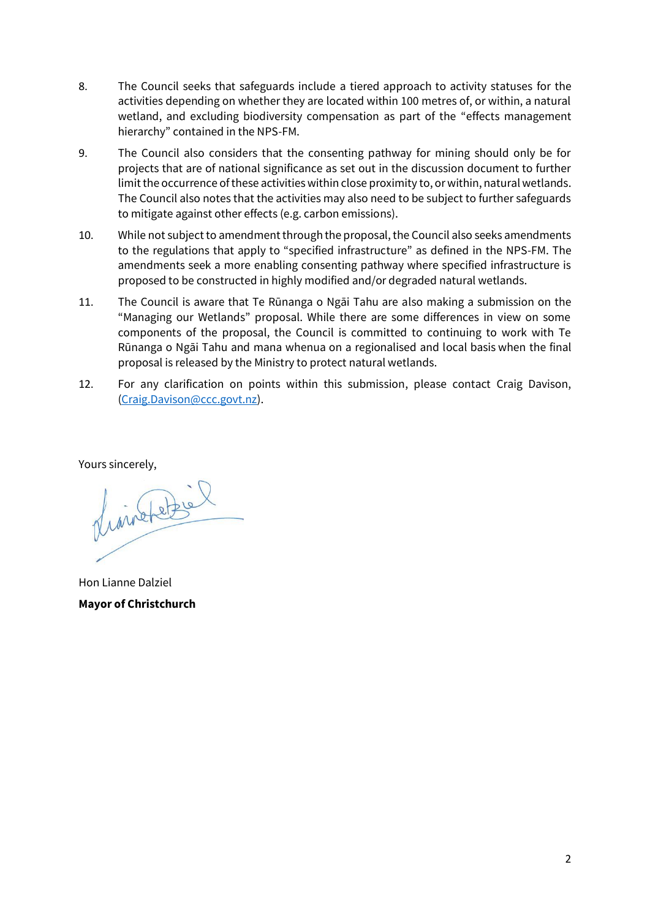- 8. The Council seeks that safeguards include a tiered approach to activity statuses for the activities depending on whether they are located within 100 metres of, or within, a natural wetland, and excluding biodiversity compensation as part of the "effects management hierarchy" contained in the NPS-FM.
- 9. The Council also considers that the consenting pathway for mining should only be for projects that are of national significance as set out in the discussion document to further limit the occurrence of these activities within close proximity to, or within, natural wetlands. The Council also notes that the activities may also need to be subject to further safeguards to mitigate against other effects (e.g. carbon emissions).
- 10. While not subject to amendment through the proposal, the Council also seeks amendments to the regulations that apply to "specified infrastructure" as defined in the NPS-FM. The amendments seek a more enabling consenting pathway where specified infrastructure is proposed to be constructed in highly modified and/or degraded natural wetlands.
- 11. The Council is aware that Te Rūnanga o Ngāi Tahu are also making a submission on the "Managing our Wetlands" proposal. While there are some differences in view on some components of the proposal, the Council is committed to continuing to work with Te Rūnanga o Ngāi Tahu and mana whenua on a regionalised and local basis when the final proposal is released by the Ministry to protect natural wetlands.
- 12. For any clarification on points within this submission, please contact Craig Davison, [\(Craig.Davison@ccc.govt.nz\)](mailto:Craig.Davison@ccc.govt.nz).

Yours sincerely,

finishetere

Hon Lianne Dalziel **Mayor of Christchurch**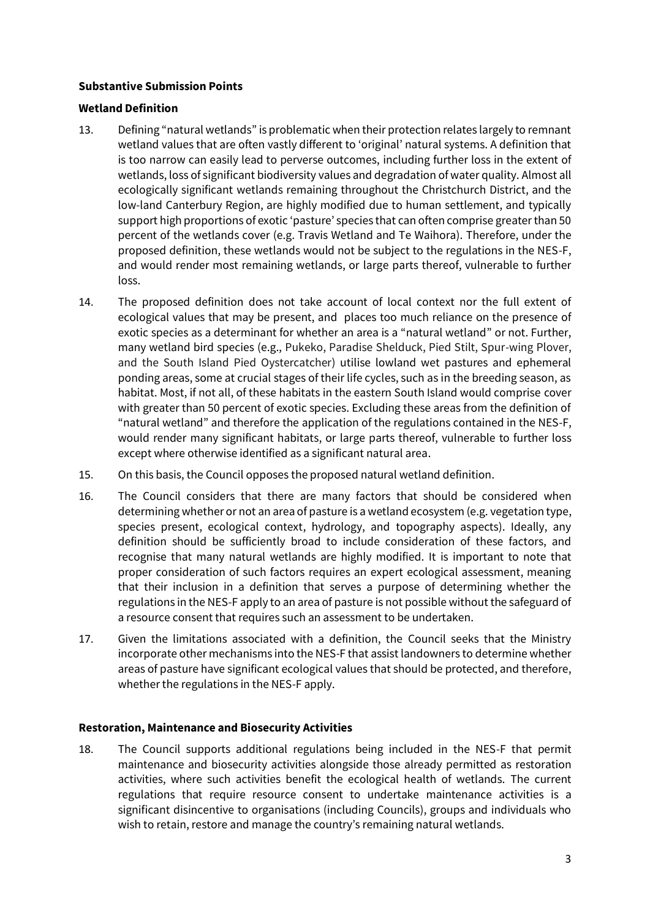### **Substantive Submission Points**

#### **Wetland Definition**

- 13. Defining "natural wetlands" is problematic when their protection relates largely to remnant wetland values that are often vastly different to 'original' natural systems. A definition that is too narrow can easily lead to perverse outcomes, including further loss in the extent of wetlands, loss of significant biodiversity values and degradation of water quality. Almost all ecologically significant wetlands remaining throughout the Christchurch District, and the low-land Canterbury Region, are highly modified due to human settlement, and typically support high proportions of exotic 'pasture' species that can often comprise greater than 50 percent of the wetlands cover (e.g. Travis Wetland and Te Waihora). Therefore, under the proposed definition, these wetlands would not be subject to the regulations in the NES-F, and would render most remaining wetlands, or large parts thereof, vulnerable to further loss.
- 14. The proposed definition does not take account of local context nor the full extent of ecological values that may be present, and places too much reliance on the presence of exotic species as a determinant for whether an area is a "natural wetland" or not. Further, many wetland bird species (e.g., Pukeko, Paradise Shelduck, Pied Stilt, Spur-wing Plover, and the South Island Pied Oystercatcher) utilise lowland wet pastures and ephemeral ponding areas, some at crucial stages of their life cycles, such as in the breeding season, as habitat. Most, if not all, of these habitats in the eastern South Island would comprise cover with greater than 50 percent of exotic species. Excluding these areas from the definition of "natural wetland" and therefore the application of the regulations contained in the NES-F, would render many significant habitats, or large parts thereof, vulnerable to further loss except where otherwise identified as a significant natural area.
- 15. On this basis, the Council opposes the proposed natural wetland definition.
- 16. The Council considers that there are many factors that should be considered when determining whether or not an area of pasture is a wetland ecosystem (e.g. vegetation type, species present, ecological context, hydrology, and topography aspects). Ideally, any definition should be sufficiently broad to include consideration of these factors, and recognise that many natural wetlands are highly modified. It is important to note that proper consideration of such factors requires an expert ecological assessment, meaning that their inclusion in a definition that serves a purpose of determining whether the regulations in the NES-F apply to an area of pasture is not possible without the safeguard of a resource consent that requires such an assessment to be undertaken.
- 17. Given the limitations associated with a definition, the Council seeks that the Ministry incorporate other mechanisms into the NES-F that assist landowners to determine whether areas of pasture have significant ecological values that should be protected, and therefore, whether the regulations in the NES-F apply.

#### **Restoration, Maintenance and Biosecurity Activities**

18. The Council supports additional regulations being included in the NES-F that permit maintenance and biosecurity activities alongside those already permitted as restoration activities, where such activities benefit the ecological health of wetlands. The current regulations that require resource consent to undertake maintenance activities is a significant disincentive to organisations (including Councils), groups and individuals who wish to retain, restore and manage the country's remaining natural wetlands.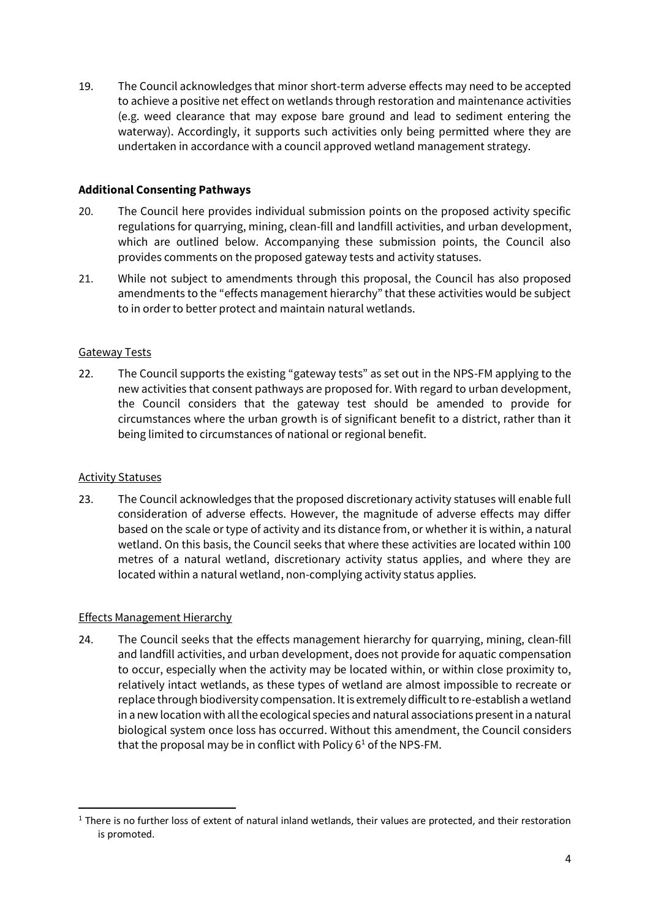19. The Council acknowledges that minor short-term adverse effects may need to be accepted to achieve a positive net effect on wetlands through restoration and maintenance activities (e.g. weed clearance that may expose bare ground and lead to sediment entering the waterway). Accordingly, it supports such activities only being permitted where they are undertaken in accordance with a council approved wetland management strategy.

## **Additional Consenting Pathways**

- 20. The Council here provides individual submission points on the proposed activity specific regulations for quarrying, mining, clean-fill and landfill activities, and urban development, which are outlined below. Accompanying these submission points, the Council also provides comments on the proposed gateway tests and activity statuses.
- 21. While not subject to amendments through this proposal, the Council has also proposed amendments to the "effects management hierarchy" that these activities would be subject to in order to better protect and maintain natural wetlands.

## Gateway Tests

22. The Council supports the existing "gateway tests" as set out in the NPS-FM applying to the new activities that consent pathways are proposed for. With regard to urban development, the Council considers that the gateway test should be amended to provide for circumstances where the urban growth is of significant benefit to a district, rather than it being limited to circumstances of national or regional benefit.

#### Activity Statuses

**.** 

23. The Council acknowledges that the proposed discretionary activity statuses will enable full consideration of adverse effects. However, the magnitude of adverse effects may differ based on the scale or type of activity and its distance from, or whether it is within, a natural wetland. On this basis, the Council seeks that where these activities are located within 100 metres of a natural wetland, discretionary activity status applies, and where they are located within a natural wetland, non-complying activity status applies.

# Effects Management Hierarchy

24. The Council seeks that the effects management hierarchy for quarrying, mining, clean-fill and landfill activities, and urban development, does not provide for aquatic compensation to occur, especially when the activity may be located within, or within close proximity to, relatively intact wetlands, as these types of wetland are almost impossible to recreate or replace through biodiversity compensation. It is extremely difficult to re-establish a wetland in a new location with all the ecological species and natural associations present in a natural biological system once loss has occurred. Without this amendment, the Council considers that the proposal may be in conflict with Policy  $6<sup>1</sup>$  of the NPS-FM.

 $1$  There is no further loss of extent of natural inland wetlands, their values are protected, and their restoration is promoted.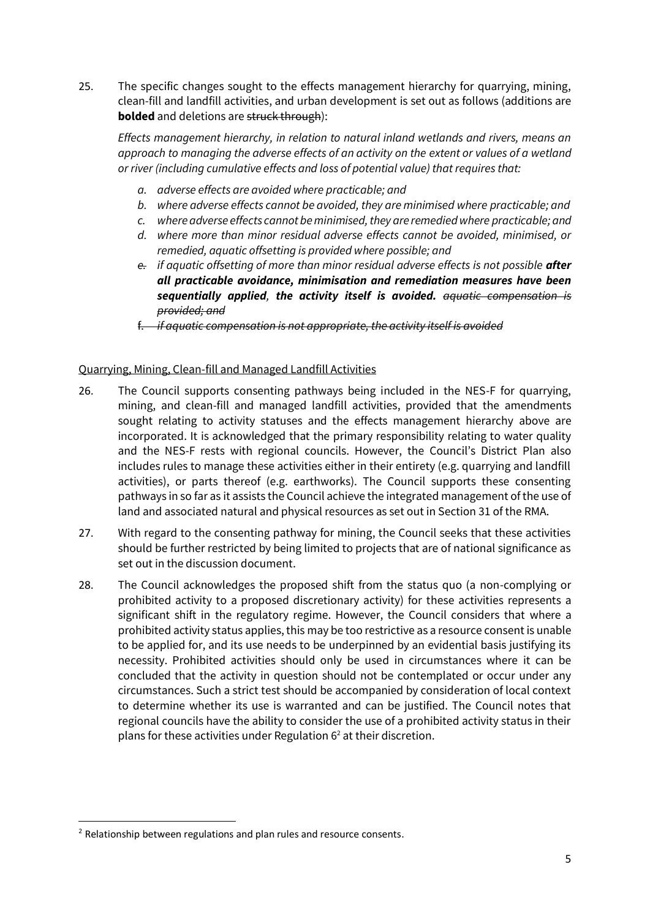25. The specific changes sought to the effects management hierarchy for quarrying, mining, clean-fill and landfill activities, and urban development is set out as follows (additions are **bolded** and deletions are struck through):

*Effects management hierarchy, in relation to natural inland wetlands and rivers, means an approach to managing the adverse effects of an activity on the extent or values of a wetland or river (including cumulative effects and loss of potential value) that requires that:*

- *a. adverse effects are avoided where practicable; and*
- *b. where adverse effects cannot be avoided, they are minimised where practicable; and*
- *c. where adverse effects cannot be minimised, they are remedied where practicable; and*
- *d. where more than minor residual adverse effects cannot be avoided, minimised, or remedied, aquatic offsetting is provided where possible; and*
- *e. if aquatic offsetting of more than minor residual adverse effects is not possible after all practicable avoidance, minimisation and remediation measures have been sequentially applied, the activity itself is avoided. aquatic compensation is provided; and*
- f. *if aquatic compensation is not appropriate, the activity itself is avoided*

## Quarrying, Mining, Clean-fill and Managed Landfill Activities

- 26. The Council supports consenting pathways being included in the NES-F for quarrying, mining, and clean-fill and managed landfill activities, provided that the amendments sought relating to activity statuses and the effects management hierarchy above are incorporated. It is acknowledged that the primary responsibility relating to water quality and the NES-F rests with regional councils. However, the Council's District Plan also includes rules to manage these activities either in their entirety (e.g. quarrying and landfill activities), or parts thereof (e.g. earthworks). The Council supports these consenting pathways in so far as it assists the Council achieve the integrated management of the use of land and associated natural and physical resources as set out in Section 31 of the RMA.
- 27. With regard to the consenting pathway for mining, the Council seeks that these activities should be further restricted by being limited to projects that are of national significance as set out in the discussion document.
- 28. The Council acknowledges the proposed shift from the status quo (a non-complying or prohibited activity to a proposed discretionary activity) for these activities represents a significant shift in the regulatory regime. However, the Council considers that where a prohibited activity status applies, this may be too restrictive as a resource consent is unable to be applied for, and its use needs to be underpinned by an evidential basis justifying its necessity. Prohibited activities should only be used in circumstances where it can be concluded that the activity in question should not be contemplated or occur under any circumstances. Such a strict test should be accompanied by consideration of local context to determine whether its use is warranted and can be justified. The Council notes that regional councils have the ability to consider the use of a prohibited activity status in their plans for these activities under Regulation  $6<sup>2</sup>$  at their discretion.

-

<sup>&</sup>lt;sup>2</sup> Relationship between regulations and plan rules and resource consents.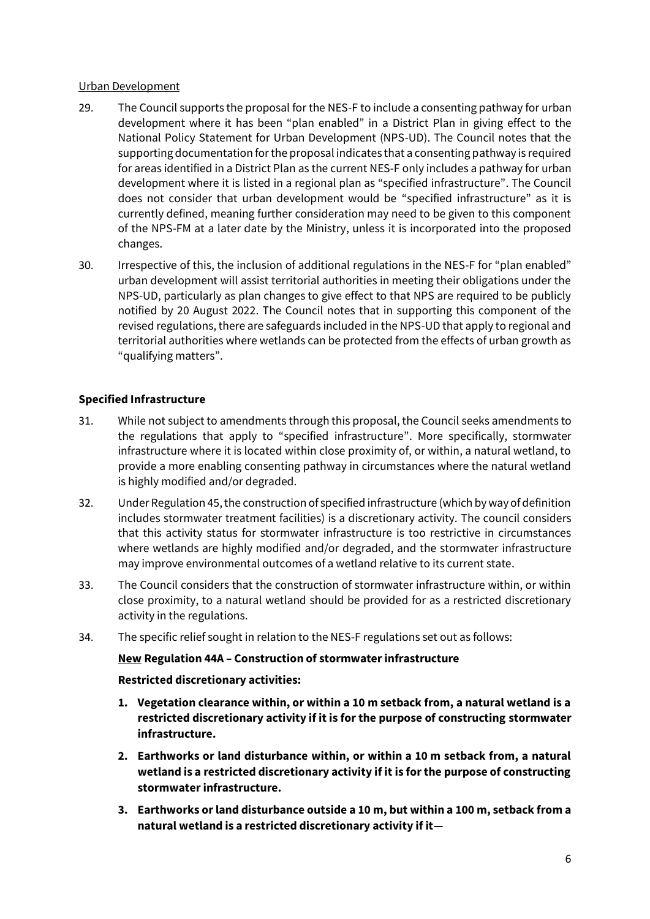#### Urban Development

- 29. The Council supports the proposal for the NES-F to include a consenting pathway for urban development where it has been "plan enabled" in a District Plan in giving effect to the National Policy Statement for Urban Development (NPS-UD). The Council notes that the supporting documentation for the proposal indicates that a consenting pathway is required for areas identified in a District Plan as the current NES-F only includes a pathway for urban development where it is listed in a regional plan as "specified infrastructure". The Council does not consider that urban development would be "specified infrastructure" as it is currently defined, meaning further consideration may need to be given to this component of the NPS-FM at a later date by the Ministry, unless it is incorporated into the proposed changes.
- 30. Irrespective of this, the inclusion of additional regulations in the NES-F for "plan enabled" urban development will assist territorial authorities in meeting their obligations under the NPS-UD, particularly as plan changes to give effect to that NPS are required to be publicly notified by 20 August 2022. The Council notes that in supporting this component of the revised regulations, there are safeguards included in the NPS-UD that apply to regional and territorial authorities where wetlands can be protected from the effects of urban growth as "qualifying matters".

## **Specified Infrastructure**

- 31. While not subject to amendments through this proposal, the Council seeks amendments to the regulations that apply to "specified infrastructure". More specifically, stormwater infrastructure where it is located within close proximity of, or within, a natural wetland, to provide a more enabling consenting pathway in circumstances where the natural wetland is highly modified and/or degraded.
- 32. Under Regulation 45, the construction of specified infrastructure (which by way of definition includes stormwater treatment facilities) is a discretionary activity. The council considers that this activity status for stormwater infrastructure is too restrictive in circumstances where wetlands are highly modified and/or degraded, and the stormwater infrastructure may improve environmental outcomes of a wetland relative to its current state.
- 33. The Council considers that the construction of stormwater infrastructure within, or within close proximity, to a natural wetland should be provided for as a restricted discretionary activity in the regulations.
- 34. The specific relief sought in relation to the NES-F regulations set out as follows:

# **New Regulation 44A – Construction of stormwater infrastructure**

#### **Restricted discretionary activities:**

- **1. Vegetation clearance within, or within a 10 m setback from, a natural wetland is a restricted discretionary activity if it is for the purpose of constructing stormwater infrastructure.**
- **2. Earthworks or land disturbance within, or within a 10 m setback from, a natural wetland is a restricted discretionary activity if it is for the purpose of constructing stormwaterinfrastructure.**
- **3. Earthworks or land disturbance outside a 10 m, but within a 100 m, setback from a natural wetland is a restricted discretionary activity if it—**